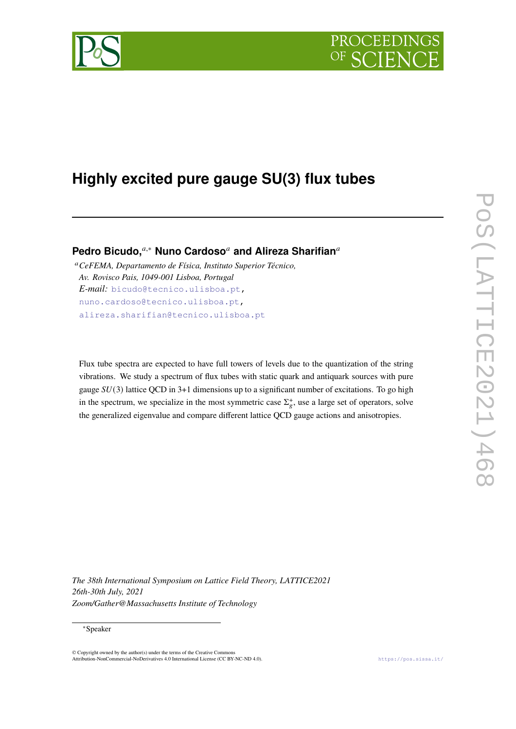

# **Highly excited pure gauge SU(3) flux tubes**

**Pedro Bicudo,**<sup>*a*,∗</sup> **Nuno Cardoso<sup>***a***</sup> and Alireza Sharifian<sup>***a***</sup>** 

*CeFEMA, Departamento de Física, Instituto Superior Técnico, Av. Rovisco Pais, 1049-001 Lisboa, Portugal E-mail:* [bicudo@tecnico.ulisboa.pt,](mailto:bicudo@tecnico.ulisboa.pt) [nuno.cardoso@tecnico.ulisboa.pt,](mailto:nuno.cardoso@tecnico.ulisboa.pt) [alireza.sharifian@tecnico.ulisboa.pt](mailto:alireza.sharifian@tecnico.ulisboa.pt)

Flux tube spectra are expected to have full towers of levels due to the quantization of the string vibrations. We study a spectrum of flux tubes with static quark and antiquark sources with pure gauge  $SU(3)$  lattice QCD in 3+1 dimensions up to a significant number of excitations. To go high in the spectrum, we specialize in the most symmetric case  $\Sigma_{\varrho}^{+}$ , use a large set of operators, solve the generalized eigenvalue and compare different lattice QCD gauge actions and anisotropies.

*The 38th International Symposium on Lattice Field Theory, LATTICE2021 26th-30th July, 2021 Zoom/Gather@Massachusetts Institute of Technology*

## <sup>∗</sup>Speaker

© Copyright owned by the author(s) under the terms of the Creative Commons Attribution-NonCommercial-NoDerivatives 4.0 International License (CC BY-NC-ND 4.0). <https://pos.sissa.it/>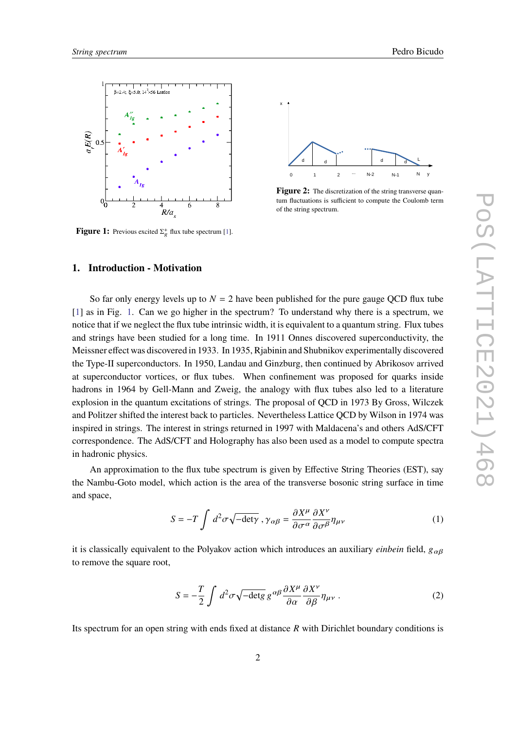

<span id="page-1-0"></span>

**Figure 1:** Previous excited  $\Sigma_g^+$  flux tube spectrum [\[1\]](#page-6-0).



**Figure 2:** The discretization of the string transverse quantum fluctuations is sufficient to compute the Coulomb term of the string spectrum.

# **1. Introduction - Motivation**

So far only energy levels up to  $N = 2$  have been published for the pure gauge QCD flux tube [\[1\]](#page-6-0) as in Fig. [1.](#page-1-0) Can we go higher in the spectrum? To understand why there is a spectrum, we notice that if we neglect the flux tube intrinsic width, it is equivalent to a quantum string. Flux tubes and strings have been studied for a long time. In 1911 Onnes discovered superconductivity, the Meissner effect was discovered in 1933. In 1935, Rjabinin and Shubnikov experimentally discovered the Type-II superconductors. In 1950, Landau and Ginzburg, then continued by Abrikosov arrived at superconductor vortices, or flux tubes. When confinement was proposed for quarks inside hadrons in 1964 by Gell-Mann and Zweig, the analogy with flux tubes also led to a literature explosion in the quantum excitations of strings. The proposal of QCD in 1973 By Gross, Wilczek and Politzer shifted the interest back to particles. Nevertheless Lattice QCD by Wilson in 1974 was inspired in strings. The interest in strings returned in 1997 with Maldacena's and others AdS/CFT correspondence. The AdS/CFT and Holography has also been used as a model to compute spectra in hadronic physics.

An approximation to the flux tube spectrum is given by Effective String Theories (EST), say the Nambu-Goto model, which action is the area of the transverse bosonic string surface in time and space,

$$
S = -T \int d^2 \sigma \sqrt{-det \gamma} , \gamma_{\alpha\beta} = \frac{\partial X^{\mu}}{\partial \sigma^{\alpha}} \frac{\partial X^{\nu}}{\partial \sigma^{\beta}} \eta_{\mu\nu}
$$
 (1)

it is classically equivalent to the Polyakov action which introduces an auxiliary *einbein* field,  $g_{\alpha\beta}$ to remove the square root,

$$
S = -\frac{T}{2} \int d^2 \sigma \sqrt{-\det g} \, g^{\alpha \beta} \frac{\partial X^{\mu}}{\partial \alpha} \frac{\partial X^{\nu}}{\partial \beta} \eta_{\mu \nu} \,. \tag{2}
$$

Its spectrum for an open string with ends fixed at distance  $R$  with Dirichlet boundary conditions is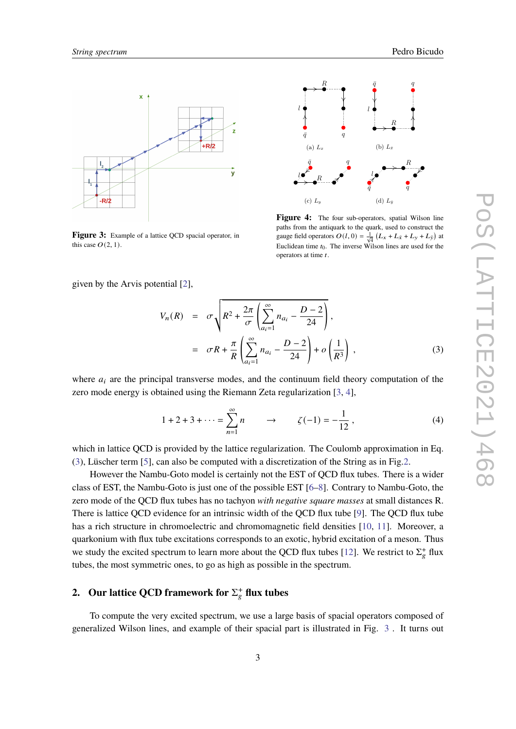<span id="page-2-1"></span>

**Figure 3:** Example of a lattice QCD spacial operator, in this case  $O(2, 1)$ .



paths from the antiquark to the quark, used to construct the Figure 4: The four sub-operators, spatial Wilson line gauge field operators  $O(l, 0) = \frac{1}{\sqrt{d}} (L_x + L_{\bar{x}} + L_y + L_{\bar{y}})$  at Euclidean time  $t_0$ . The inverse Wilson lines are used for the operators at time  $t$ .

given by the Arvis potential [\[2\]](#page-6-1),

<span id="page-2-0"></span>
$$
V_n(R) = \sigma \sqrt{R^2 + \frac{2\pi}{\sigma} \left( \sum_{a_i=1}^{\infty} n_{a_i} - \frac{D-2}{24} \right)},
$$
  
=  $\sigma R + \frac{\pi}{R} \left( \sum_{a_i=1}^{\infty} n_{a_i} - \frac{D-2}{24} \right) + o \left( \frac{1}{R^3} \right),$  (3)

where  $a_i$  are the principal transverse modes, and the continuum field theory computation of the zero mode energy is obtained using the Riemann Zeta regularization [\[3,](#page-6-2) [4\]](#page-6-3),

$$
1 + 2 + 3 + \dots = \sum_{n=1}^{\infty} n \qquad \to \qquad \zeta(-1) = -\frac{1}{12} \,, \tag{4}
$$

which in lattice QCD is provided by the lattice regularization. The Coulomb approximation in Eq. [\(3\)](#page-2-0), Lüscher term [\[5\]](#page-6-4), can also be computed with a discretization of the String as in Fig[.2.](#page-1-0)

However the Nambu-Goto model is certainly not the EST of QCD flux tubes. There is a wider class of EST, the Nambu-Goto is just one of the possible EST [\[6](#page-6-5)[–8\]](#page-6-6). Contrary to Nambu-Goto, the zero mode of the QCD flux tubes has no tachyon *with negative square masses* at small distances R. There is lattice QCD evidence for an intrinsic width of the QCD flux tube [\[9\]](#page-6-7). The QCD flux tube has a rich structure in chromoelectric and chromomagnetic field densities [\[10,](#page-6-8) [11\]](#page-6-9). Moreover, a quarkonium with flux tube excitations corresponds to an exotic, hybrid excitation of a meson. Thus we study the excited spectrum to learn more about the QCD flux tubes [\[12\]](#page-6-10). We restrict to  $\Sigma_g^+$  flux tubes, the most symmetric ones, to go as high as possible in the spectrum.

# **2.** Our lattice QCD framework for  $\Sigma_g^+$  flux tubes

To compute the very excited spectrum, we use a large basis of spacial operators composed of generalized Wilson lines, and example of their spacial part is illustrated in Fig. [3](#page-2-1) . It turns out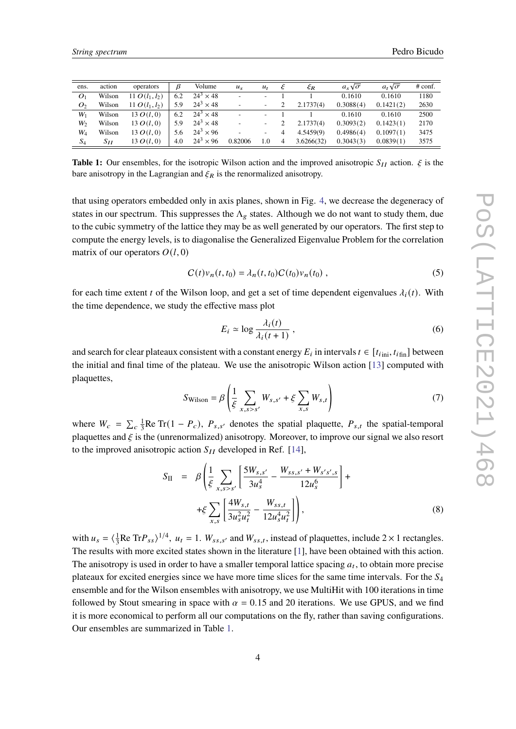<span id="page-3-0"></span>

| ens.           | action   | operators        | ß   | Volume           | $u_{\rm s}$              | $u_t$                    |                | ξR         | $a_s\sqrt{\sigma}$ | $a_t\sqrt{\sigma}$ | $#$ conf. |
|----------------|----------|------------------|-----|------------------|--------------------------|--------------------------|----------------|------------|--------------------|--------------------|-----------|
| O <sub>1</sub> | Wilson   | 11 $O(l_1, l_2)$ | 6.2 | $24^3 \times 48$ | $\overline{\phantom{0}}$ | -                        |                |            | 0.1610             | 0.1610             | 1180      |
| O <sub>2</sub> | Wilson   | 11 $O(l_1, l_2)$ | 5.9 | $24^3 \times 48$ |                          | ۰                        |                | 2.1737(4)  | 0.3088(4)          | 0.1421(2)          | 2630      |
| $W_1$          | Wilson   | $13 \, O(l, 0)$  | 6.2 | $24^3 \times 48$ | ۰                        | $\overline{\phantom{a}}$ |                |            | 0.1610             | 0.1610             | 2500      |
| W <sub>2</sub> | Wilson   | $13 \, O(l, 0)$  | 5.9 | $24^3 \times 48$ | ۰                        | -                        |                | 2.1737(4)  | 0.3093(2)          | 0.1423(1)          | 2170      |
| $W_4$          | Wilson   | 13 $O(l, 0)$     | 5.6 | $24^3 \times 96$ |                          | ۰                        | $\overline{4}$ | 4.5459(9)  | 0.4986(4)          | 0.1097(1)          | 3475      |
| $S_4$          | $S_{II}$ | 13 $O(l, 0)$     | 4.0 | $24^3 \times 96$ | 0.82006                  | 1.0                      | $\overline{4}$ | 3.6266(32) | 0.3043(3)          | 0.0839(1)          | 3575      |

**Table 1:** Our ensembles, for the isotropic Wilson action and the improved anisotropic  $S_{II}$  action.  $\xi$  is the bare anisotropy in the Lagrangian and  $\xi_R$  is the renormalized anisotropy.

that using operators embedded only in axis planes, shown in Fig. [4,](#page-2-1) we decrease the degeneracy of states in our spectrum. This suppresses the  $\Lambda_g$  states. Although we do not want to study them, due to the cubic symmetry of the lattice they may be as well generated by our operators. The first step to compute the energy levels, is to diagonalise the Generalized Eigenvalue Problem for the correlation matrix of our operators  $O(l, 0)$ 

$$
C(t)v_n(t, t_0) = \lambda_n(t, t_0)C(t_0)v_n(t_0),
$$
\n(5)

for each time extent t of the Wilson loop, and get a set of time dependent eigenvalues  $\lambda_i(t)$ . With the time dependence, we study the effective mass plot

$$
E_i \simeq \log \frac{\lambda_i(t)}{\lambda_i(t+1)},
$$
\n(6)

and search for clear plateaux consistent with a constant energy  $E_i$  in intervals  $t \in [t_{i_{\text{min}}}, t_{i_{\text{fin}}}]$  between the initial and final time of the plateau. We use the anisotropic Wilson action [\[13\]](#page-6-11) computed with plaquettes,

$$
S_{\text{Wilson}} = \beta \left( \frac{1}{\xi} \sum_{x,s>s'} W_{s,s'} + \xi \sum_{x,s} W_{s,t} \right) \tag{7}
$$

where  $W_c = \sum_c \frac{1}{3}$  $\frac{1}{3}$ Re Tr(1 –  $P_c$ ),  $P_{s,s'}$  denotes the spatial plaquette,  $P_{s,t}$  the spatial-temporal plaquettes and  $\xi$  is the (unrenormalized) anisotropy. Moreover, to improve our signal we also resort to the improved anisotropic action  $S_{II}$  developed in Ref. [\[14\]](#page-6-12),

$$
S_{II} = \beta \left( \frac{1}{\xi} \sum_{x,s>s'} \left[ \frac{5W_{s,s'}}{3u_s^4} - \frac{W_{ss,s'} + W_{s's',s}}{12u_s^6} \right] + \right. \\
\left. + \xi \sum_{x,s} \left[ \frac{4W_{s,t}}{3u_s^2 u_t^2} - \frac{W_{ss,t}}{12u_s^4 u_t^2} \right] \right),
$$
\n(8)

with  $u_s = \langle \frac{1}{3} \rangle$  $\frac{1}{3}$ Re Tr $P_{ss}$ )<sup>1/4</sup>,  $u_t = 1$ .  $W_{ss,s'}$  and  $W_{ss,t}$ , instead of plaquettes, include 2 × 1 rectangles. The results with more excited states shown in the literature [\[1\]](#page-6-0), have been obtained with this action. The anisotropy is used in order to have a smaller temporal lattice spacing  $a_t$ , to obtain more precise plateaux for excited energies since we have more time slices for the same time intervals. For the  $S_4$ ensemble and for the Wilson ensembles with anisotropy, we use MultiHit with 100 iterations in time followed by Stout smearing in space with  $\alpha = 0.15$  and 20 iterations. We use GPUS, and we find it is more economical to perform all our computations on the fly, rather than saving configurations. Our ensembles are summarized in Table [1.](#page-3-0)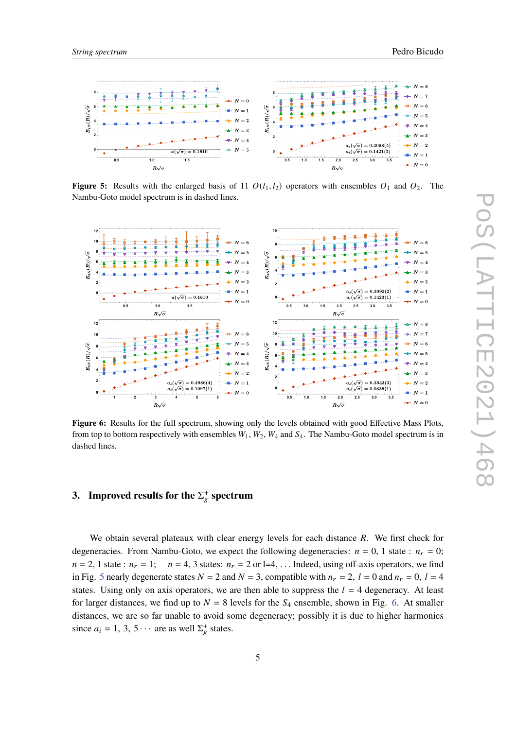<span id="page-4-0"></span>

**Figure 5:** Results with the enlarged basis of 11  $O(l_1, l_2)$  operators with ensembles  $O_1$  and  $O_2$ . The Nambu-Goto model spectrum is in dashed lines.

<span id="page-4-1"></span>

Figure 6: Results for the full spectrum, showing only the levels obtained with good Effective Mass Plots, from top to bottom respectively with ensembles  $W_1, W_2, W_4$  and  $S_4$ . The Nambu-Goto model spectrum is in dashed lines.

# **3.** Improved results for the  $\Sigma_e^+$  spectrum

We obtain several plateaux with clear energy levels for each distance  $R$ . We first check for degeneracies. From Nambu-Goto, we expect the following degeneracies:  $n = 0$ , 1 state :  $n_r = 0$ ;  $n = 2$ , 1 state :  $n_r = 1$ ;  $n = 4$ , 3 states:  $n_r = 2$  or l=4, ... Indeed, using off-axis operators, we find in Fig. [5](#page-4-0) nearly degenerate states  $N = 2$  and  $N = 3$ , compatible with  $n_r = 2$ ,  $l = 0$  and  $n_r = 0$ ,  $l = 4$ states. Using only on axis operators, we are then able to suppress the  $l = 4$  degeneracy. At least for larger distances, we find up to  $N = 8$  levels for the  $S_4$  ensemble, shown in Fig. [6.](#page-4-1) At smaller distances, we are so far unable to avoid some degeneracy; possibly it is due to higher harmonics since  $a_i = 1, 3, 5 \cdots$  are as well  $\Sigma_g^+$  states.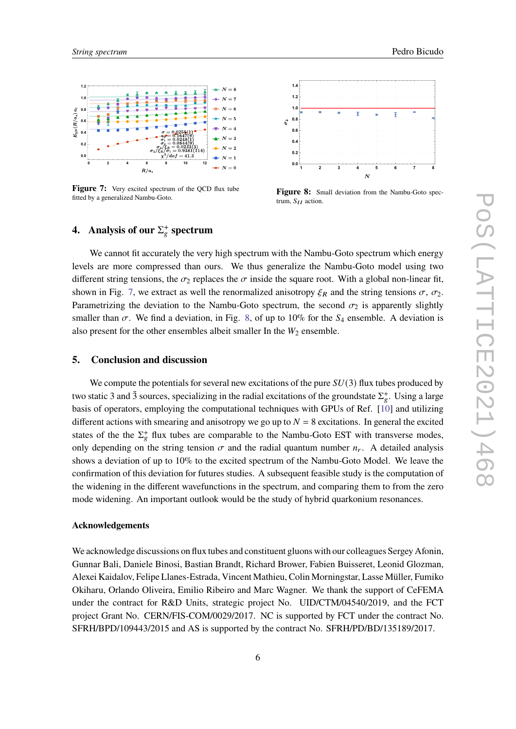

<span id="page-5-0"></span>

**Figure 7:** Very excited spectrum of the QCD flux tube fitted by a generalized Nambu-Goto.



**Figure 8:** Small deviation from the Nambu-Goto spectrum,  $S_{II}$  action.

# **4.** Analysis of our  $\Sigma_g^+$  spectrum

We cannot fit accurately the very high spectrum with the Nambu-Goto spectrum which energy levels are more compressed than ours. We thus generalize the Nambu-Goto model using two different string tensions, the  $\sigma_2$  replaces the  $\sigma$  inside the square root. With a global non-linear fit, shown in Fig. [7,](#page-5-0) we extract as well the renormalized anisotropy  $\xi_R$  and the string tensions  $\sigma$ ,  $\sigma_2$ . Parametrizing the deviation to the Nambu-Goto spectrum, the second  $\sigma_2$  is apparently slightly smaller than  $\sigma$ . We find a deviation, in Fig. [8,](#page-5-0) of up to 10% for the  $S_4$  ensemble. A deviation is also present for the other ensembles albeit smaller In the  $W_2$  ensemble.

#### **5. Conclusion and discussion**

We compute the potentials for several new excitations of the pure  $SU(3)$  flux tubes produced by two static 3 and  $\bar{3}$  sources, specializing in the radial excitations of the groundstate  $\Sigma_g^+$ . Using a large basis of operators, employing the computational techniques with GPUs of Ref. [\[10\]](#page-6-8) and utilizing different actions with smearing and anisotropy we go up to  $N = 8$  excitations. In general the excited states of the the  $\Sigma^+_{\mathfrak{g}}$  flux tubes are comparable to the Nambu-Goto EST with transverse modes, only depending on the string tension  $\sigma$  and the radial quantum number  $n_r$ . A detailed analysis shows a deviation of up to 10% to the excited spectrum of the Nambu-Goto Model. We leave the confirmation of this deviation for futures studies. A subsequent feasible study is the computation of the widening in the different wavefunctions in the spectrum, and comparing them to from the zero mode widening. An important outlook would be the study of hybrid quarkonium resonances.

## **Acknowledgements**

We acknowledge discussions on flux tubes and constituent gluons with our colleagues Sergey Afonin, Gunnar Bali, Daniele Binosi, Bastian Brandt, Richard Brower, Fabien Buisseret, Leonid Glozman, Alexei Kaidalov, Felipe Llanes-Estrada, Vincent Mathieu, Colin Morningstar, Lasse Müller, Fumiko Okiharu, Orlando Oliveira, Emilio Ribeiro and Marc Wagner. We thank the support of CeFEMA under the contract for R&D Units, strategic project No. UID/CTM/04540/2019, and the FCT project Grant No. CERN/FIS-COM/0029/2017. NC is supported by FCT under the contract No. SFRH/BPD/109443/2015 and AS is supported by the contract No. SFRH/PD/BD/135189/2017.